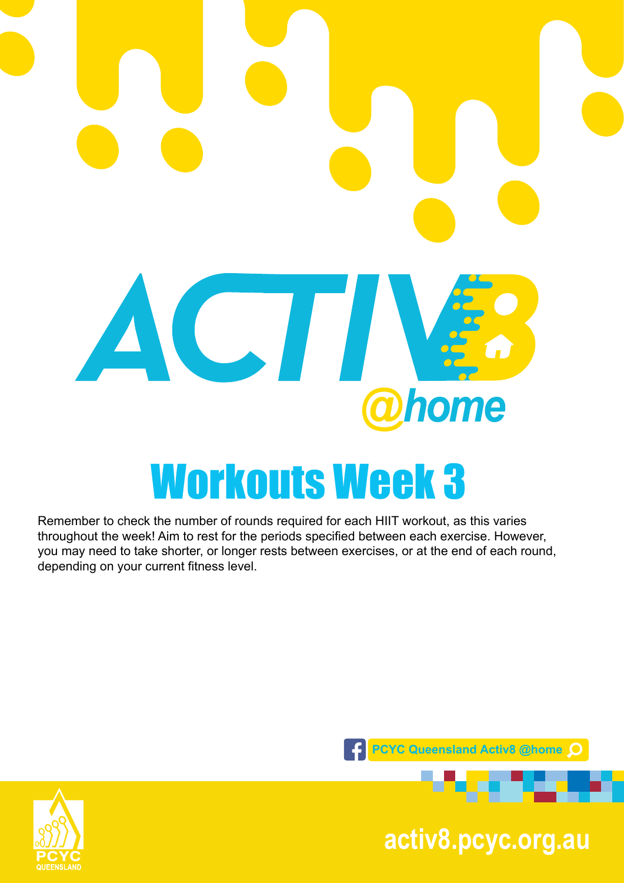# ACTI home Workouts Week 3

Remember to check the number of rounds required for each HIIT workout, as this varies throughout the week! Aim to rest for the periods specified between each exercise. However, you may need to take shorter, or longer rests between exercises, or at the end of each round, depending on your current fitness level.





**pcyc.org.au activ8.pcyc.org.au**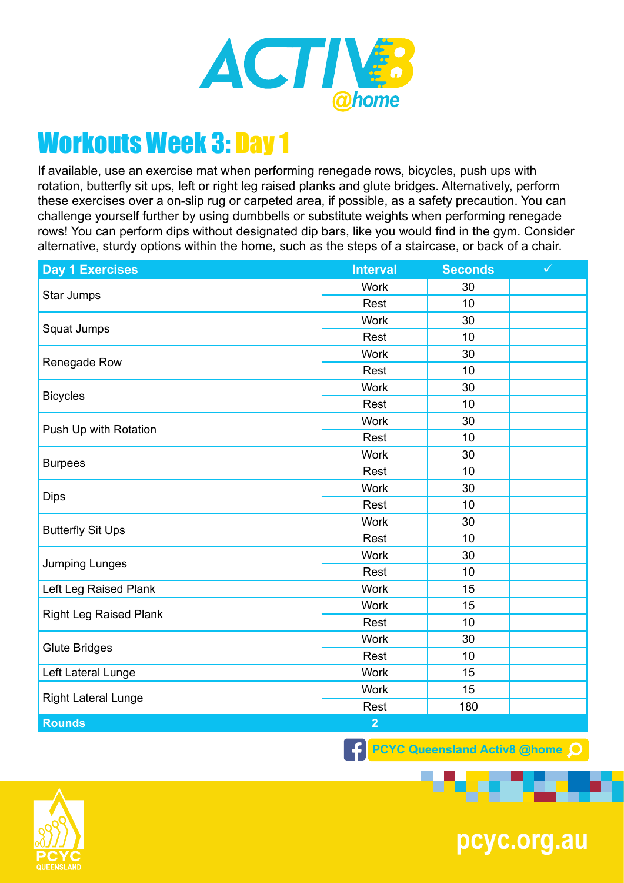

If available, use an exercise mat when performing renegade rows, bicycles, push ups with rotation, butterfly sit ups, left or right leg raised planks and glute bridges. Alternatively, perform these exercises over a on-slip rug or carpeted area, if possible, as a safety precaution. You can challenge yourself further by using dumbbells or substitute weights when performing renegade rows! You can perform dips without designated dip bars, like you would find in the gym. Consider alternative, sturdy options within the home, such as the steps of a staircase, or back of a chair.

| <b>Day 1 Exercises</b>        | <b>Interval</b> | <b>Seconds</b> | $\checkmark$ |
|-------------------------------|-----------------|----------------|--------------|
| Star Jumps                    | <b>Work</b>     | 30             |              |
|                               | Rest            | 10             |              |
| Squat Jumps                   | <b>Work</b>     | 30             |              |
|                               | Rest            | 10             |              |
| Renegade Row                  | <b>Work</b>     | 30             |              |
|                               | Rest            | 10             |              |
| <b>Bicycles</b>               | <b>Work</b>     | 30             |              |
|                               | Rest            | 10             |              |
| Push Up with Rotation         | <b>Work</b>     | 30             |              |
|                               | Rest            | 10             |              |
|                               | <b>Work</b>     | 30             |              |
| <b>Burpees</b>                | Rest            | 10             |              |
|                               | <b>Work</b>     | 30             |              |
| <b>Dips</b>                   | Rest            | 10             |              |
| <b>Butterfly Sit Ups</b>      | <b>Work</b>     | 30             |              |
|                               | Rest            | 10             |              |
| <b>Jumping Lunges</b>         | <b>Work</b>     | 30             |              |
|                               | Rest            | 10             |              |
| Left Leg Raised Plank         | <b>Work</b>     | 15             |              |
| <b>Right Leg Raised Plank</b> | <b>Work</b>     | 15             |              |
|                               | Rest            | 10             |              |
| <b>Glute Bridges</b>          | <b>Work</b>     | 30             |              |
|                               | Rest            | 10             |              |
| Left Lateral Lunge            | <b>Work</b>     | 15             |              |
| <b>Right Lateral Lunge</b>    | <b>Work</b>     | 15             |              |
|                               | Rest            | 180            |              |
| <b>Rounds</b>                 | $\overline{2}$  |                |              |

**F** PCYC Queensland Activ8 @home O



**pcyc.org.au**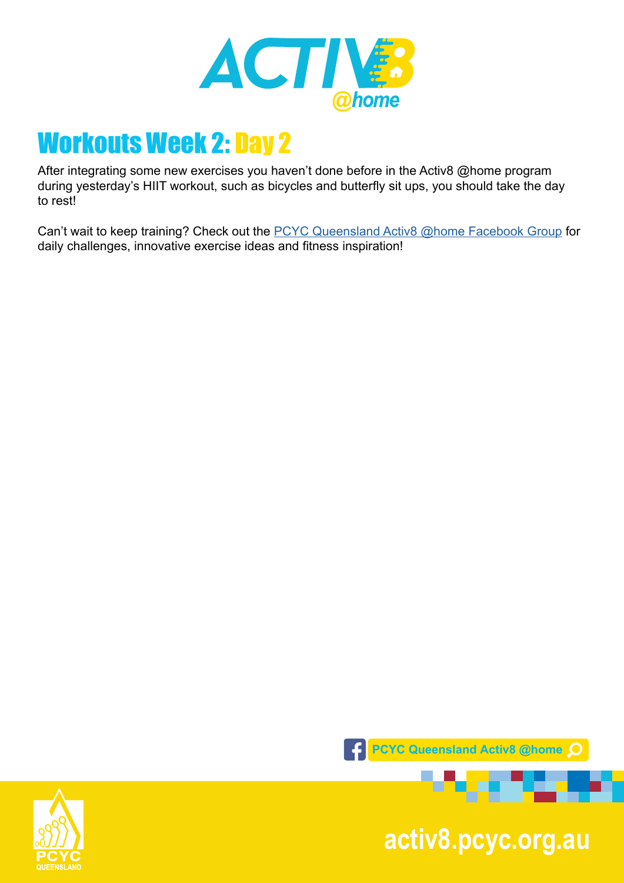

After integrating some new exercises you haven't done before in the Activ8 @home program during yesterday's HIIT workout, such as bicycles and butterfly sit ups, you should take the day to rest!

Can't wait to keep training? Check out the **PCYC Queensland Activ8 @home Facebook Group** for daily challenges, innovative exercise ideas and fitness inspiration!



**pcyc.org.au activ8.pcyc.org.au**

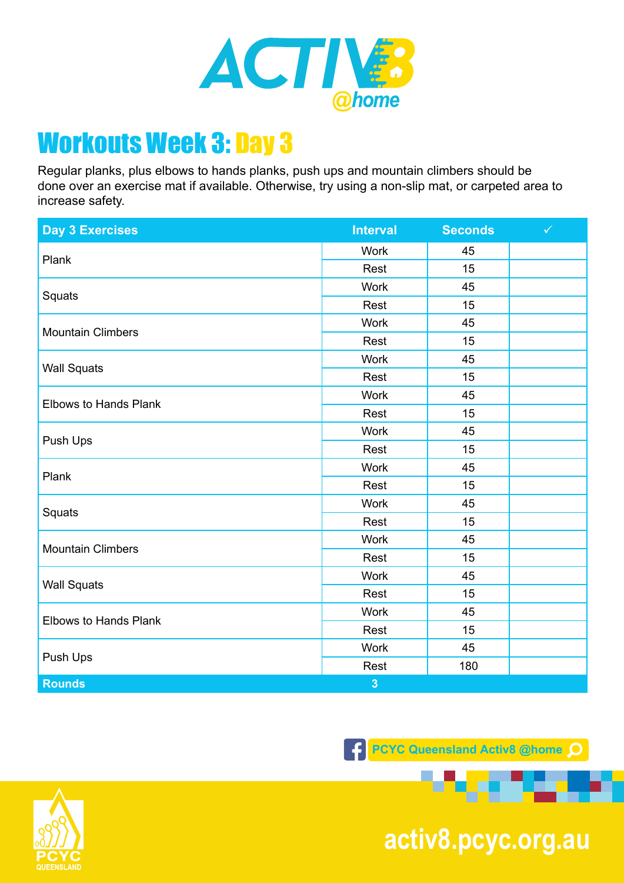

Regular planks, plus elbows to hands planks, push ups and mountain climbers should be done over an exercise mat if available. Otherwise, try using a non-slip mat, or carpeted area to increase safety.

| <b>Day 3 Exercises</b>       | <b>Interval</b>         | <b>Seconds</b> | $\checkmark$ |
|------------------------------|-------------------------|----------------|--------------|
| Plank                        | <b>Work</b>             | 45             |              |
|                              | Rest                    | 15             |              |
| Squats                       | <b>Work</b>             | 45             |              |
|                              | Rest                    | 15             |              |
| <b>Mountain Climbers</b>     | <b>Work</b>             | 45             |              |
|                              | Rest                    | 15             |              |
| <b>Wall Squats</b>           | <b>Work</b>             | 45             |              |
|                              | Rest                    | 15             |              |
|                              | <b>Work</b>             | 45             |              |
| <b>Elbows to Hands Plank</b> | Rest                    | 15             |              |
|                              | Work                    | 45             |              |
| Push Ups                     | Rest                    | 15             |              |
| Plank                        | <b>Work</b>             | 45             |              |
|                              | Rest                    | 15             |              |
|                              | <b>Work</b>             | 45             |              |
| Squats                       | Rest                    | 15             |              |
| <b>Mountain Climbers</b>     | <b>Work</b>             | 45             |              |
|                              | Rest                    | 15             |              |
| <b>Wall Squats</b>           | <b>Work</b>             | 45             |              |
|                              | Rest                    | 15             |              |
| <b>Elbows to Hands Plank</b> | <b>Work</b>             | 45             |              |
|                              | Rest                    | 15             |              |
| Push Ups                     | Work                    | 45             |              |
|                              | Rest                    | 180            |              |
| <b>Rounds</b>                | $\overline{\mathbf{3}}$ |                |              |

**PCYC Queensland Activ8 @home** 



**pcyc.org.au activ8.pcyc.org.au**

**ALC UNITED**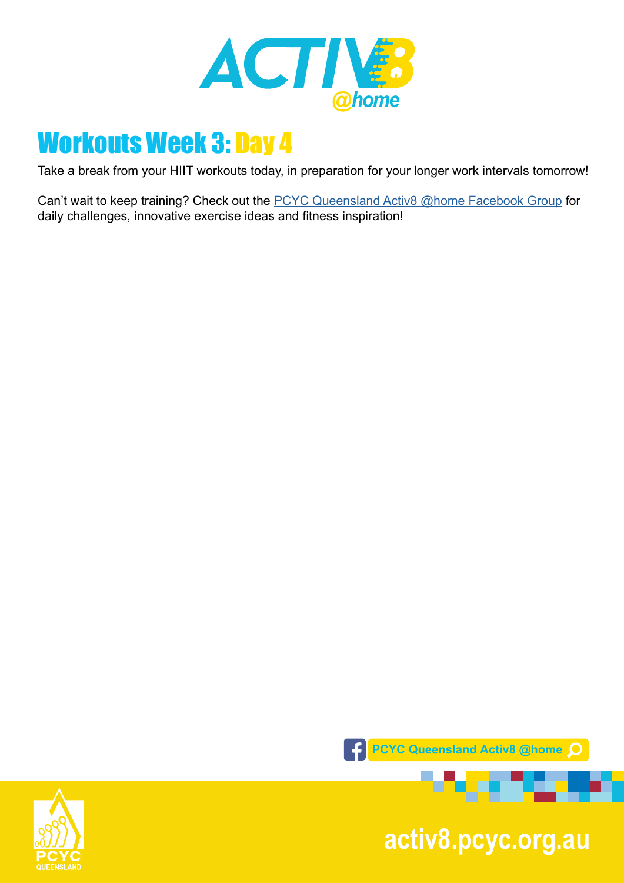

Take a break from your HIIT workouts today, in preparation for your longer work intervals tomorrow!

Can't wait to keep training? Check out the **PCYC Queensland Activ8 @home Facebook Group** for daily challenges, innovative exercise ideas and fitness inspiration!



**pcyc.org.au activ8.pcyc.org.au**

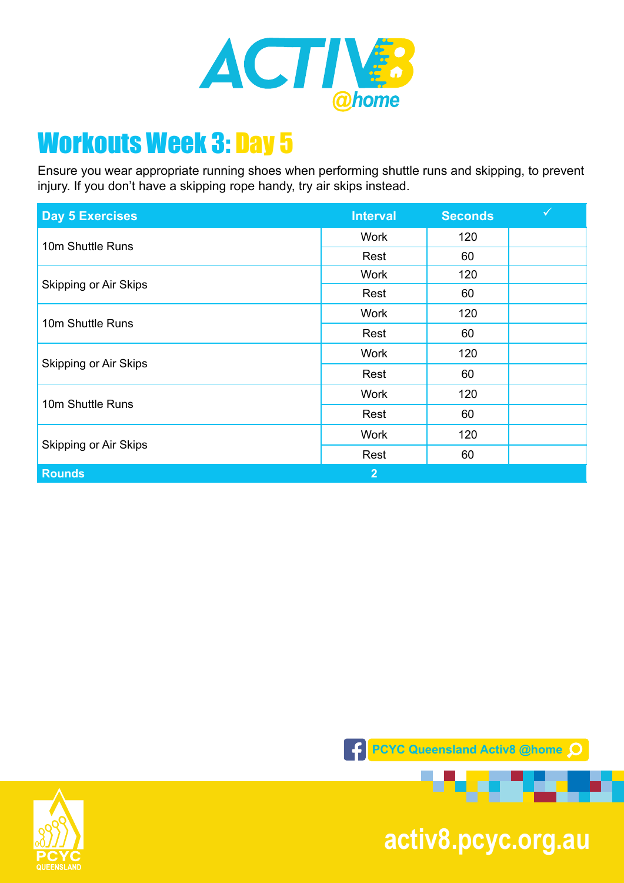

Ensure you wear appropriate running shoes when performing shuttle runs and skipping, to prevent injury. If you don't have a skipping rope handy, try air skips instead.

| <b>Day 5 Exercises</b>       | <b>Interval</b> | <b>Seconds</b> | $\checkmark$ |
|------------------------------|-----------------|----------------|--------------|
| 10m Shuttle Runs             | <b>Work</b>     | 120            |              |
|                              | Rest            | 60             |              |
| <b>Skipping or Air Skips</b> | <b>Work</b>     | 120            |              |
|                              | Rest            | 60             |              |
| 10m Shuttle Runs             | <b>Work</b>     | 120            |              |
|                              | Rest            | 60             |              |
| Skipping or Air Skips        | <b>Work</b>     | 120            |              |
|                              | Rest            | 60             |              |
| 10m Shuttle Runs             | <b>Work</b>     | 120            |              |
|                              | Rest            | 60             |              |
| Skipping or Air Skips        | <b>Work</b>     | 120            |              |
|                              | Rest            | 60             |              |
| <b>Rounds</b>                | $\overline{2}$  |                |              |





**pcyc.org.au activ8.pcyc.org.au**

a ta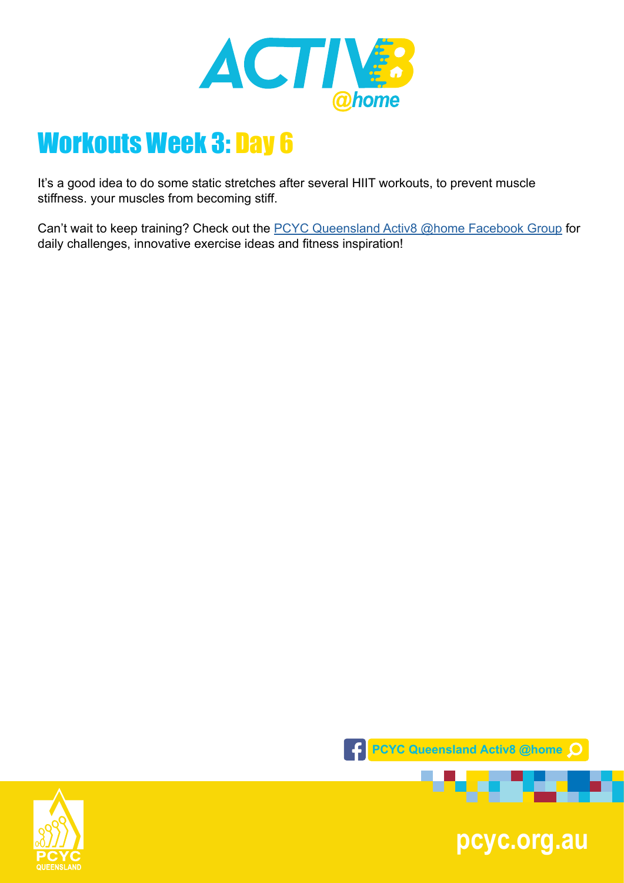

It's a good idea to do some static stretches after several HIIT workouts, to prevent muscle stiffness. your muscles from becoming stiff.

Can't wait to keep training? Check out the **PCYC Queensland Activ8 @home Facebook Group** for daily challenges, innovative exercise ideas and fitness inspiration!